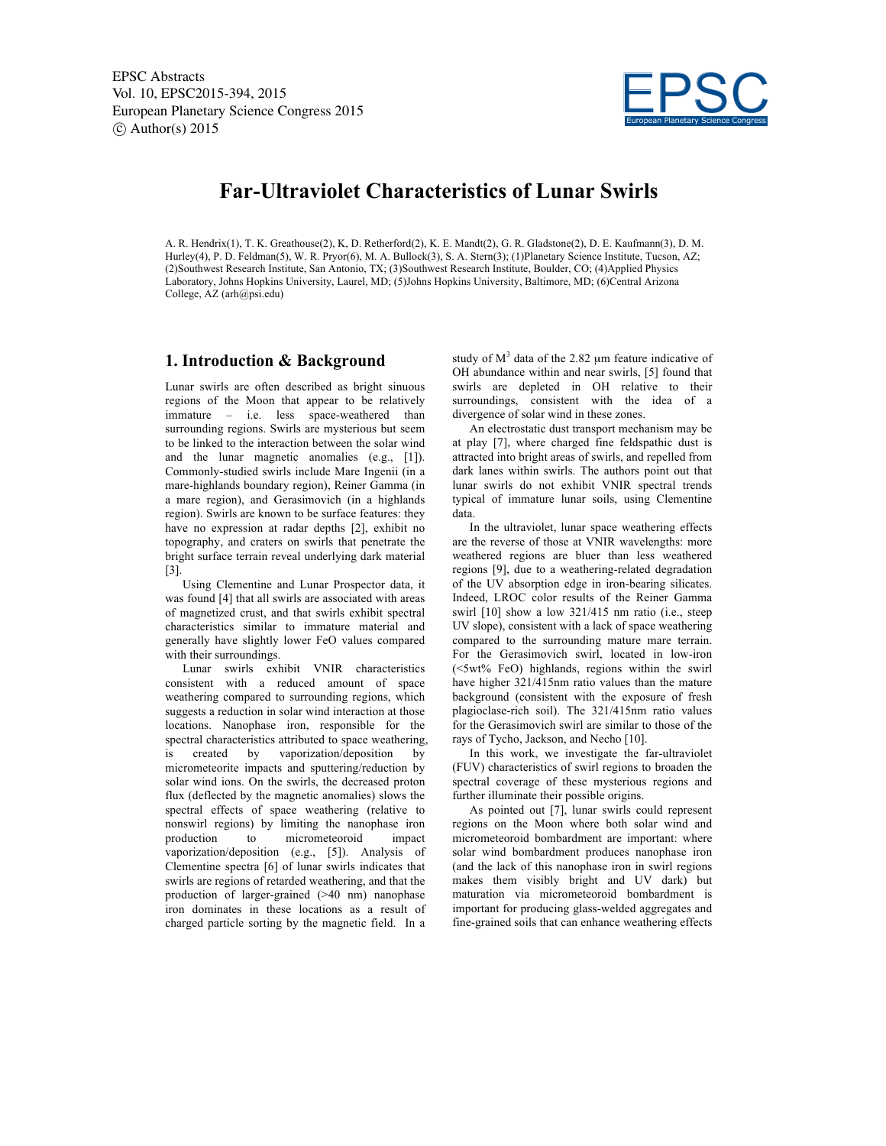

# **Far-Ultraviolet Characteristics of Lunar Swirls**

A. R. Hendrix(1), T. K. Greathouse(2), K, D. Retherford(2), K. E. Mandt(2), G. R. Gladstone(2), D. E. Kaufmann(3), D. M. Hurley(4), P. D. Feldman(5), W. R. Pryor(6), M. A. Bullock(3), S. A. Stern(3); (1)Planetary Science Institute, Tucson, AZ; (2)Southwest Research Institute, San Antonio, TX; (3)Southwest Research Institute, Boulder, CO; (4)Applied Physics Laboratory, Johns Hopkins University, Laurel, MD; (5)Johns Hopkins University, Baltimore, MD; (6)Central Arizona College, AZ (arh@psi.edu)

## **1. Introduction & Background**

Lunar swirls are often described as bright sinuous regions of the Moon that appear to be relatively immature – i.e. less space-weathered than surrounding regions. Swirls are mysterious but seem to be linked to the interaction between the solar wind and the lunar magnetic anomalies (e.g., [1]). Commonly-studied swirls include Mare Ingenii (in a mare-highlands boundary region), Reiner Gamma (in a mare region), and Gerasimovich (in a highlands region). Swirls are known to be surface features: they have no expression at radar depths [2], exhibit no topography, and craters on swirls that penetrate the bright surface terrain reveal underlying dark material [3].

Using Clementine and Lunar Prospector data, it was found [4] that all swirls are associated with areas of magnetized crust, and that swirls exhibit spectral characteristics similar to immature material and generally have slightly lower FeO values compared with their surroundings.

Lunar swirls exhibit VNIR characteristics consistent with a reduced amount of space weathering compared to surrounding regions, which suggests a reduction in solar wind interaction at those locations. Nanophase iron, responsible for the spectral characteristics attributed to space weathering, is created by vaporization/deposition by micrometeorite impacts and sputtering/reduction by solar wind ions. On the swirls, the decreased proton flux (deflected by the magnetic anomalies) slows the spectral effects of space weathering (relative to nonswirl regions) by limiting the nanophase iron production to micrometeoroid impact vaporization/deposition (e.g., [5]). Analysis of Clementine spectra [6] of lunar swirls indicates that swirls are regions of retarded weathering, and that the production of larger-grained (>40 nm) nanophase iron dominates in these locations as a result of charged particle sorting by the magnetic field. In a

study of  $M<sup>3</sup>$  data of the 2.82 µm feature indicative of OH abundance within and near swirls, [5] found that swirls are depleted in OH relative to their surroundings, consistent with the idea of a divergence of solar wind in these zones.

An electrostatic dust transport mechanism may be at play [7], where charged fine feldspathic dust is attracted into bright areas of swirls, and repelled from dark lanes within swirls. The authors point out that lunar swirls do not exhibit VNIR spectral trends typical of immature lunar soils, using Clementine data.

In the ultraviolet, lunar space weathering effects are the reverse of those at VNIR wavelengths: more weathered regions are bluer than less weathered regions [9], due to a weathering-related degradation of the UV absorption edge in iron-bearing silicates. Indeed, LROC color results of the Reiner Gamma swirl [10] show a low 321/415 nm ratio (i.e., steep UV slope), consistent with a lack of space weathering compared to the surrounding mature mare terrain. For the Gerasimovich swirl, located in low-iron (<5wt% FeO) highlands, regions within the swirl have higher 321/415nm ratio values than the mature background (consistent with the exposure of fresh plagioclase-rich soil). The 321/415nm ratio values for the Gerasimovich swirl are similar to those of the rays of Tycho, Jackson, and Necho [10].

In this work, we investigate the far-ultraviolet (FUV) characteristics of swirl regions to broaden the spectral coverage of these mysterious regions and further illuminate their possible origins.

As pointed out [7], lunar swirls could represent regions on the Moon where both solar wind and micrometeoroid bombardment are important: where solar wind bombardment produces nanophase iron (and the lack of this nanophase iron in swirl regions makes them visibly bright and UV dark) but maturation via micrometeoroid bombardment is important for producing glass-welded aggregates and fine-grained soils that can enhance weathering effects